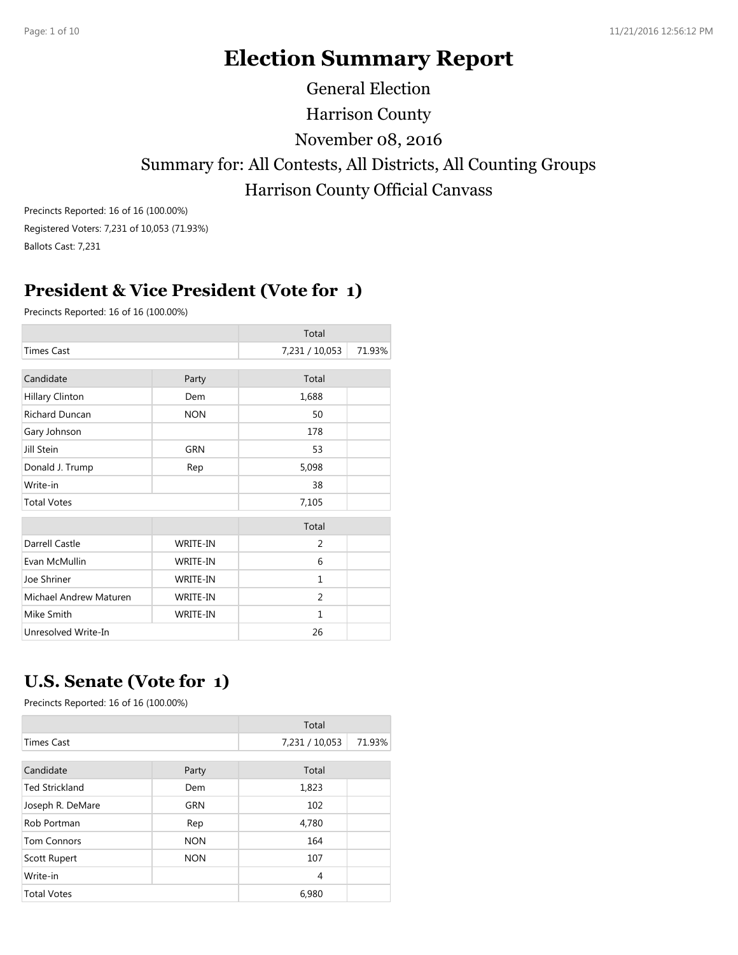# **Election Summary Report**

Harrison County Summary for: All Contests, All Districts, All Counting Groups Harrison County Official Canvass November 08, 2016 General Election

Precincts Reported: 16 of 16 (100.00%) Registered Voters: 7,231 of 10,053 (71.93%) Ballots Cast: 7,231

## **President & Vice President (Vote for 1)**

Precincts Reported: 16 of 16 (100.00%)

|                        |            | Total          |        |
|------------------------|------------|----------------|--------|
| <b>Times Cast</b>      |            | 7,231 / 10,053 | 71.93% |
|                        |            |                |        |
| Candidate              | Party      | Total          |        |
| Hillary Clinton        | Dem        | 1,688          |        |
| <b>Richard Duncan</b>  | <b>NON</b> | 50             |        |
| Gary Johnson           |            | 178            |        |
| Jill Stein             | GRN        | 53             |        |
| Donald J. Trump        | Rep        | 5,098          |        |
| Write-in               |            | 38             |        |
| <b>Total Votes</b>     |            | 7,105          |        |
|                        |            | Total          |        |
| Darrell Castle         | WRITE-IN   | 2              |        |
| Evan McMullin          | WRITE-IN   | 6              |        |
| Joe Shriner            | WRITE-IN   | $\mathbf{1}$   |        |
| Michael Andrew Maturen | WRITE-IN   | 2              |        |
| Mike Smith             | WRITE-IN   | $\mathbf{1}$   |        |
| Unresolved Write-In    |            | 26             |        |

## **U.S. Senate (Vote for 1)**

|                       |            | Total          |        |
|-----------------------|------------|----------------|--------|
| <b>Times Cast</b>     |            | 7,231 / 10,053 | 71.93% |
|                       |            |                |        |
| Candidate             | Party      | Total          |        |
| <b>Ted Strickland</b> | Dem        | 1,823          |        |
| Joseph R. DeMare      | <b>GRN</b> | 102            |        |
| Rob Portman           | Rep        | 4,780          |        |
| <b>Tom Connors</b>    | <b>NON</b> | 164            |        |
| Scott Rupert          | <b>NON</b> | 107            |        |
| Write-in              |            | 4              |        |
| <b>Total Votes</b>    |            | 6,980          |        |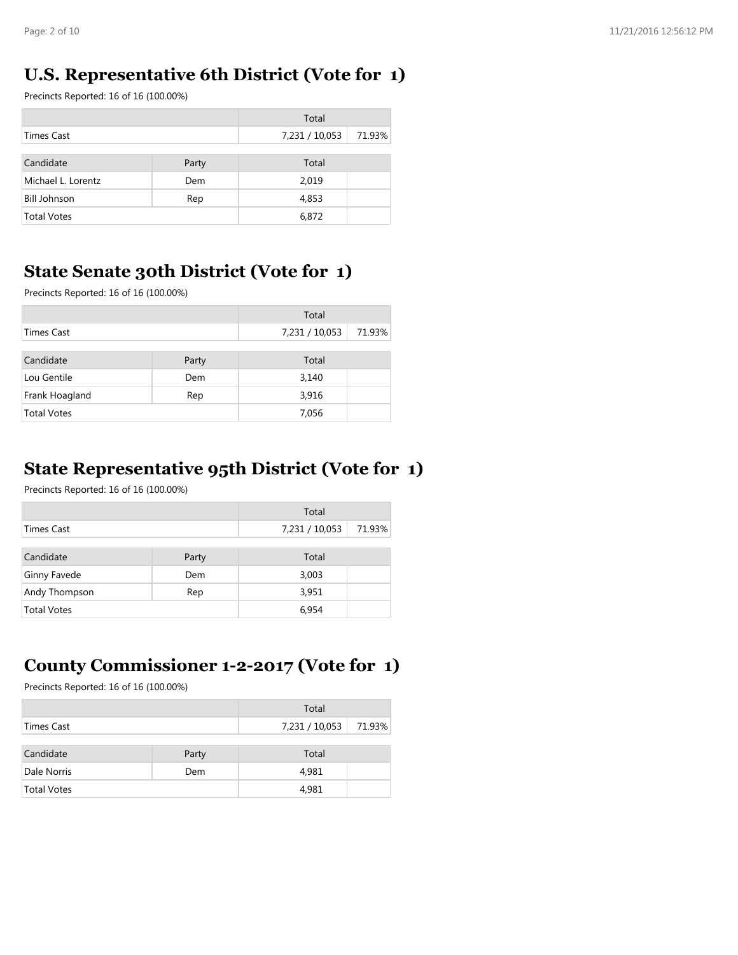#### **U.S. Representative 6th District (Vote for 1)**

Precincts Reported: 16 of 16 (100.00%)

|                     |       | Total          |        |
|---------------------|-------|----------------|--------|
| Times Cast          |       | 7,231 / 10,053 | 71.93% |
|                     |       |                |        |
| Candidate           | Party | Total          |        |
| Michael L. Lorentz  | Dem   | 2,019          |        |
| <b>Bill Johnson</b> | Rep   | 4,853          |        |
| <b>Total Votes</b>  |       | 6,872          |        |

#### **State Senate 30th District (Vote for 1)**

Precincts Reported: 16 of 16 (100.00%)

|                    |       | Total          |        |
|--------------------|-------|----------------|--------|
| Times Cast         |       | 7,231 / 10,053 | 71.93% |
|                    |       |                |        |
| Candidate          | Party | Total          |        |
| Lou Gentile        | Dem   | 3,140          |        |
| Frank Hoagland     | Rep   | 3,916          |        |
| <b>Total Votes</b> |       | 7,056          |        |

#### **State Representative 95th District (Vote for 1)**

Precincts Reported: 16 of 16 (100.00%)

|                    |       | Total          |        |
|--------------------|-------|----------------|--------|
| Times Cast         |       | 7,231 / 10,053 | 71.93% |
|                    |       |                |        |
| Candidate          | Party | Total          |        |
| Ginny Favede       | Dem   | 3,003          |        |
| Andy Thompson      | Rep   | 3,951          |        |
| <b>Total Votes</b> |       | 6,954          |        |

## **County Commissioner 1-2-2017 (Vote for 1)**

|                    |       | Total          |        |
|--------------------|-------|----------------|--------|
| Times Cast         |       | 7,231 / 10,053 | 71.93% |
| Candidate          | Party | Total          |        |
| Dale Norris        | Dem   | 4,981          |        |
| <b>Total Votes</b> |       | 4,981          |        |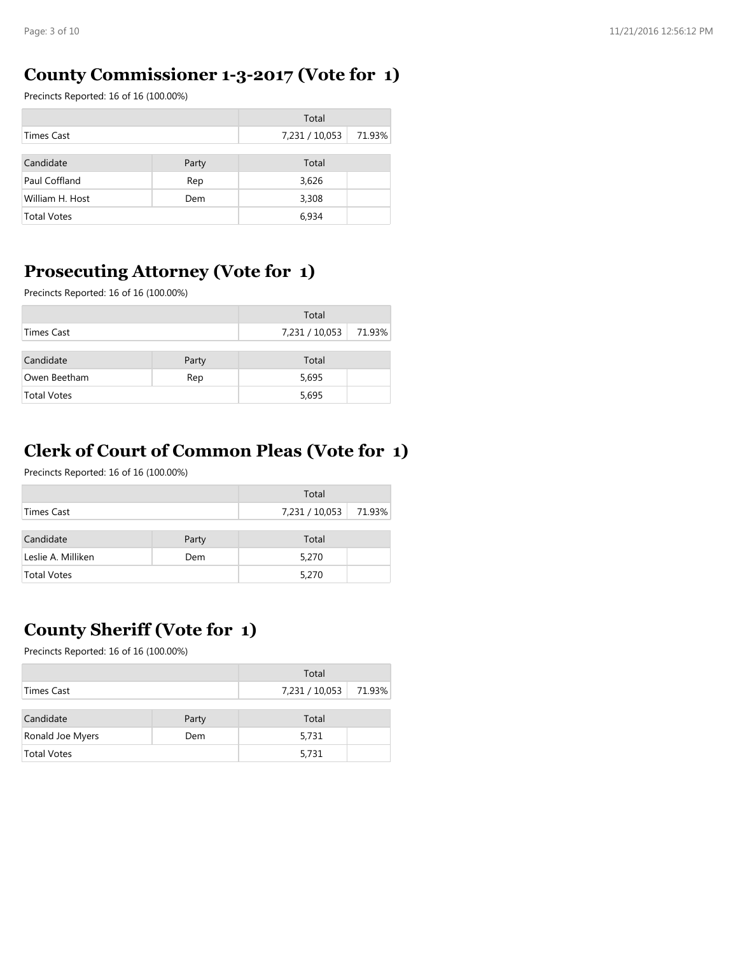#### **County Commissioner 1-3-2017 (Vote for 1)**

Precincts Reported: 16 of 16 (100.00%)

|                    |       | Total          |        |
|--------------------|-------|----------------|--------|
| Times Cast         |       | 7,231 / 10,053 | 71.93% |
|                    |       |                |        |
| Candidate          | Party | Total          |        |
| Paul Coffland      | Rep   | 3,626          |        |
| William H. Host    | Dem   | 3,308          |        |
| <b>Total Votes</b> |       | 6,934          |        |

## **Prosecuting Attorney (Vote for 1)**

Precincts Reported: 16 of 16 (100.00%)

|                    |       | Total          |        |
|--------------------|-------|----------------|--------|
| Times Cast         |       | 7,231 / 10,053 | 71.93% |
| Candidate          | Party | Total          |        |
| Owen Beetham       | Rep   | 5,695          |        |
| <b>Total Votes</b> |       | 5,695          |        |

## **Clerk of Court of Common Pleas (Vote for 1)**

Precincts Reported: 16 of 16 (100.00%)

|                    |       | Total          |        |
|--------------------|-------|----------------|--------|
| Times Cast         |       | 7,231 / 10,053 | 71.93% |
| Candidate          | Party | Total          |        |
| Leslie A. Milliken | Dem   | 5,270          |        |
| <b>Total Votes</b> |       | 5,270          |        |

## **County Sheriff (Vote for 1)**

|                    |       | Total          |        |
|--------------------|-------|----------------|--------|
| Times Cast         |       | 7,231 / 10,053 | 71.93% |
| Candidate          | Party | Total          |        |
| Ronald Joe Myers   | Dem   | 5,731          |        |
| <b>Total Votes</b> |       | 5,731          |        |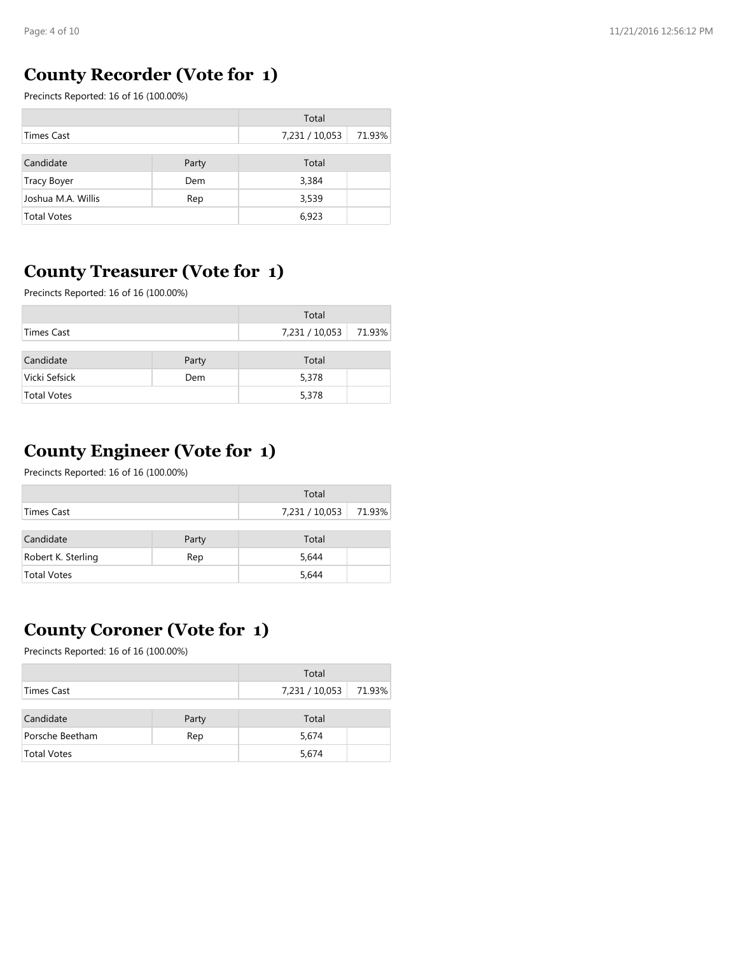## **County Recorder (Vote for 1)**

Precincts Reported: 16 of 16 (100.00%)

|                    |       | Total          |        |
|--------------------|-------|----------------|--------|
| Times Cast         |       | 7,231 / 10,053 | 71.93% |
|                    |       |                |        |
| Candidate          | Party | Total          |        |
| <b>Tracy Boyer</b> | Dem   | 3,384          |        |
| Joshua M.A. Willis | Rep   | 3,539          |        |
| <b>Total Votes</b> |       | 6,923          |        |

## **County Treasurer (Vote for 1)**

Precincts Reported: 16 of 16 (100.00%)

|                    |       | Total          |        |
|--------------------|-------|----------------|--------|
| Times Cast         |       | 7,231 / 10,053 | 71.93% |
| Candidate          | Party | Total          |        |
| Vicki Sefsick      | Dem   | 5,378          |        |
| <b>Total Votes</b> |       | 5,378          |        |

## **County Engineer (Vote for 1)**

Precincts Reported: 16 of 16 (100.00%)

|                    |       | Total          |        |
|--------------------|-------|----------------|--------|
| Times Cast         |       | 7,231 / 10,053 | 71.93% |
| Candidate          | Party | Total          |        |
| Robert K. Sterling | Rep   | 5,644          |        |
| <b>Total Votes</b> |       | 5,644          |        |

## **County Coroner (Vote for 1)**

|                    |       | Total          |        |
|--------------------|-------|----------------|--------|
| Times Cast         |       | 7,231 / 10,053 | 71.93% |
| Candidate          | Party | Total          |        |
| Porsche Beetham    | Rep   | 5,674          |        |
| <b>Total Votes</b> |       | 5,674          |        |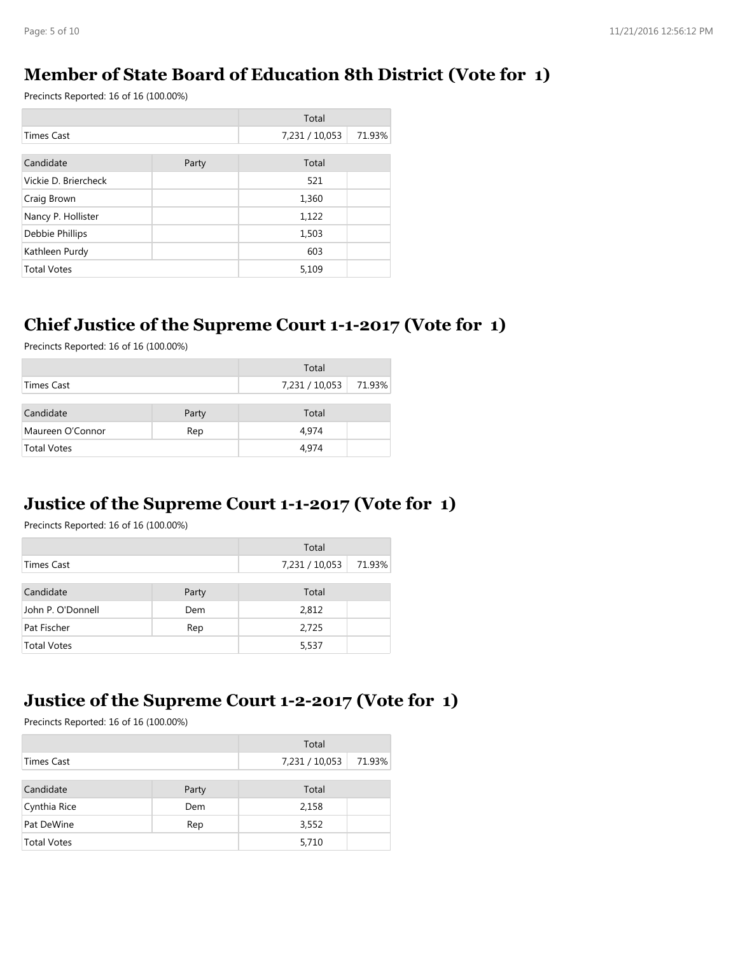## **Member of State Board of Education 8th District (Vote for 1)**

Precincts Reported: 16 of 16 (100.00%)

|                      |       | Total          |        |
|----------------------|-------|----------------|--------|
| <b>Times Cast</b>    |       | 7,231 / 10,053 | 71.93% |
|                      |       |                |        |
| Candidate            | Party | Total          |        |
| Vickie D. Briercheck |       | 521            |        |
| Craig Brown          |       | 1,360          |        |
| Nancy P. Hollister   |       | 1,122          |        |
| Debbie Phillips      |       | 1,503          |        |
| Kathleen Purdy       |       | 603            |        |
| <b>Total Votes</b>   |       | 5,109          |        |

#### **Chief Justice of the Supreme Court 1-1-2017 (Vote for 1)**

Precincts Reported: 16 of 16 (100.00%)

|                    |       | Total          |        |
|--------------------|-------|----------------|--------|
| Times Cast         |       | 7,231 / 10,053 | 71.93% |
| Candidate          | Party | Total          |        |
| Maureen O'Connor   | Rep   | 4.974          |        |
| <b>Total Votes</b> |       | 4.974          |        |

#### **Justice of the Supreme Court 1-1-2017 (Vote for 1)**

Precincts Reported: 16 of 16 (100.00%)

|                    |       | Total          |        |
|--------------------|-------|----------------|--------|
| Times Cast         |       | 7,231 / 10,053 | 71.93% |
|                    |       |                |        |
| Candidate          | Party | Total          |        |
| John P. O'Donnell  | Dem   | 2,812          |        |
| Pat Fischer        | Rep   | 2,725          |        |
| <b>Total Votes</b> |       | 5,537          |        |

## **Justice of the Supreme Court 1-2-2017 (Vote for 1)**

|                    |       | Total          |        |
|--------------------|-------|----------------|--------|
| Times Cast         |       | 7,231 / 10,053 | 71.93% |
| Candidate          | Party | Total          |        |
| Cynthia Rice       | Dem   | 2,158          |        |
| Pat DeWine         | Rep   | 3,552          |        |
| <b>Total Votes</b> |       | 5,710          |        |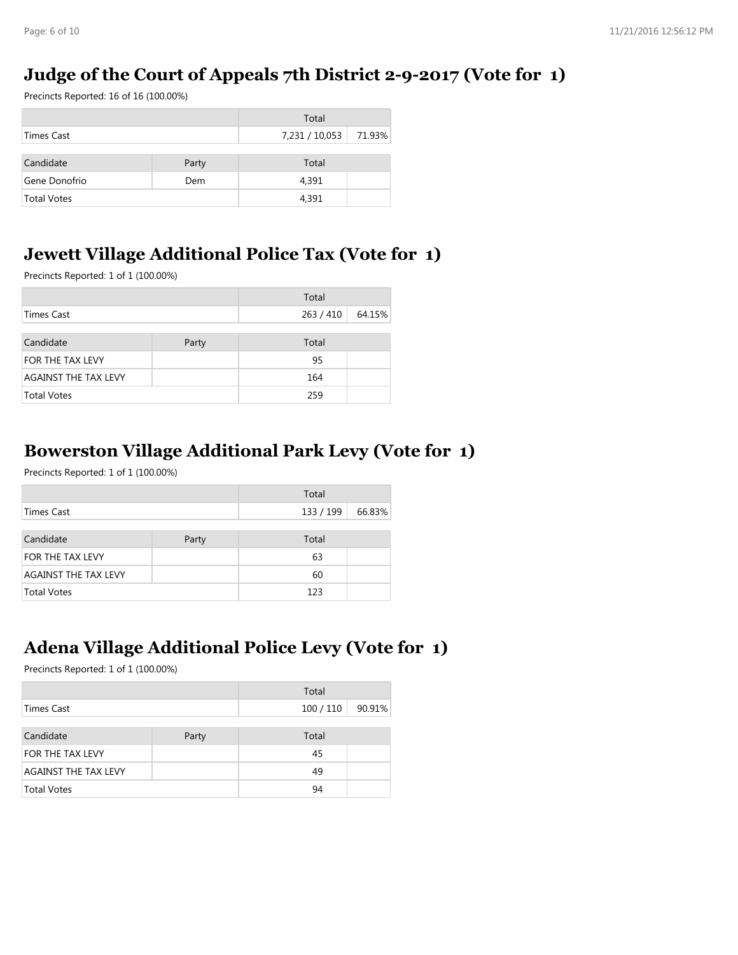## **Judge of the Court of Appeals 7th District 2-9-2017 (Vote for 1)**

Precincts Reported: 16 of 16 (100.00%)

|                    |       | Total          |        |
|--------------------|-------|----------------|--------|
| Times Cast         |       | 7,231 / 10,053 | 71.93% |
| Candidate          | Party | Total          |        |
| Gene Donofrio      | Dem   | 4,391          |        |
| <b>Total Votes</b> |       | 4,391          |        |

## **Jewett Village Additional Police Tax (Vote for 1)**

Precincts Reported: 1 of 1 (100.00%)

|                             |       | Total     |        |
|-----------------------------|-------|-----------|--------|
| Times Cast                  |       | 263 / 410 | 64.15% |
|                             |       |           |        |
| Candidate                   | Party | Total     |        |
| <b>FOR THE TAX LEVY</b>     |       | 95        |        |
| <b>AGAINST THE TAX LEVY</b> |       | 164       |        |
| <b>Total Votes</b>          |       | 259       |        |

#### **Bowerston Village Additional Park Levy (Vote for 1)**

Precincts Reported: 1 of 1 (100.00%)

|                             |       | Total     |        |
|-----------------------------|-------|-----------|--------|
| Times Cast                  |       | 133 / 199 | 66.83% |
|                             |       |           |        |
| Candidate                   | Party | Total     |        |
| FOR THE TAX LEVY            |       | 63        |        |
| <b>AGAINST THE TAX LEVY</b> |       | 60        |        |
| <b>Total Votes</b>          |       | 123       |        |

## **Adena Village Additional Police Levy (Vote for 1)**

|                             |       | Total   |        |
|-----------------------------|-------|---------|--------|
| Times Cast                  |       | 100/110 | 90.91% |
|                             |       |         |        |
| Candidate                   | Party | Total   |        |
| FOR THE TAX LEVY            |       | 45      |        |
| <b>AGAINST THE TAX LEVY</b> |       | 49      |        |
| <b>Total Votes</b>          |       | 94      |        |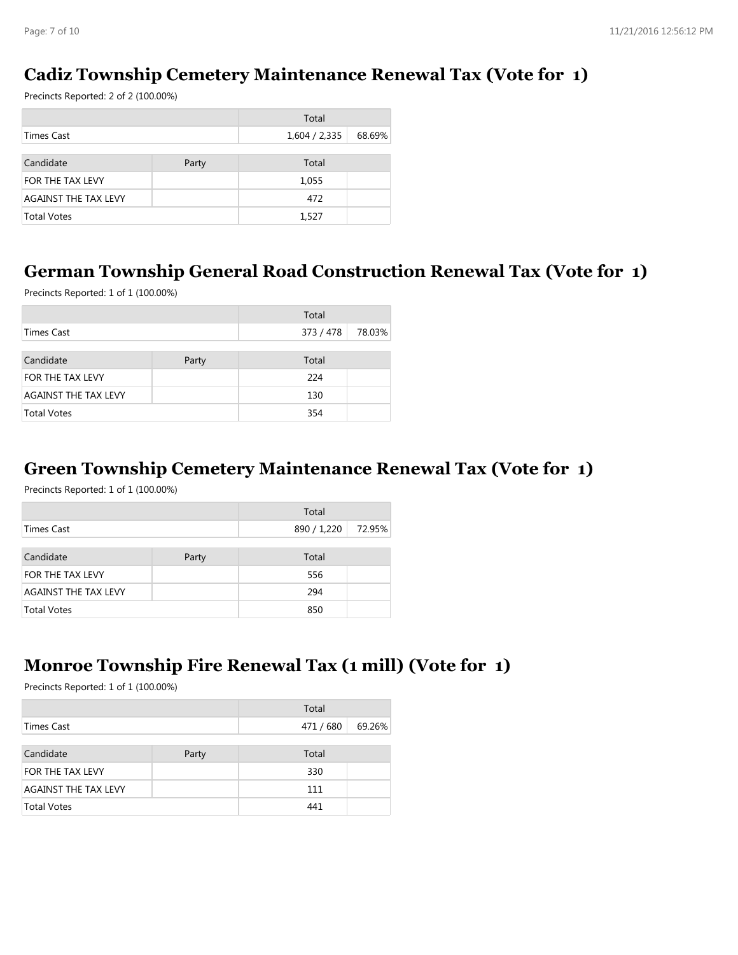## **Cadiz Township Cemetery Maintenance Renewal Tax (Vote for 1)**

Precincts Reported: 2 of 2 (100.00%)

|                             |       | Total         |        |
|-----------------------------|-------|---------------|--------|
| Times Cast                  |       | 1,604 / 2,335 | 68.69% |
|                             |       |               |        |
| Candidate                   | Party | Total         |        |
| FOR THE TAX LEVY            |       | 1,055         |        |
| <b>AGAINST THE TAX LEVY</b> |       | 472           |        |
| <b>Total Votes</b>          |       | 1,527         |        |

#### **German Township General Road Construction Renewal Tax (Vote for 1)**

Precincts Reported: 1 of 1 (100.00%)

|                             |       | Total     |        |
|-----------------------------|-------|-----------|--------|
| Times Cast                  |       | 373 / 478 | 78.03% |
|                             |       |           |        |
| Candidate                   | Party | Total     |        |
| FOR THE TAX LEVY            |       | 224       |        |
| <b>AGAINST THE TAX LEVY</b> |       | 130       |        |
| <b>Total Votes</b>          |       | 354       |        |

#### **Green Township Cemetery Maintenance Renewal Tax (Vote for 1)**

Precincts Reported: 1 of 1 (100.00%)

|                             |       | Total       |        |
|-----------------------------|-------|-------------|--------|
| Times Cast                  |       | 890 / 1,220 | 72.95% |
|                             |       |             |        |
| Candidate                   | Party | Total       |        |
| FOR THE TAX LEVY            |       | 556         |        |
| <b>AGAINST THE TAX LEVY</b> |       | 294         |        |
| <b>Total Votes</b>          |       | 850         |        |

## **Monroe Township Fire Renewal Tax (1 mill) (Vote for 1)**

|                             |       | Total   |        |
|-----------------------------|-------|---------|--------|
| Times Cast                  |       | 471/680 | 69.26% |
|                             |       |         |        |
| Candidate                   | Party | Total   |        |
| <b>FOR THE TAX LEVY</b>     |       | 330     |        |
| <b>AGAINST THE TAX LEVY</b> |       | 111     |        |
| <b>Total Votes</b>          |       | 441     |        |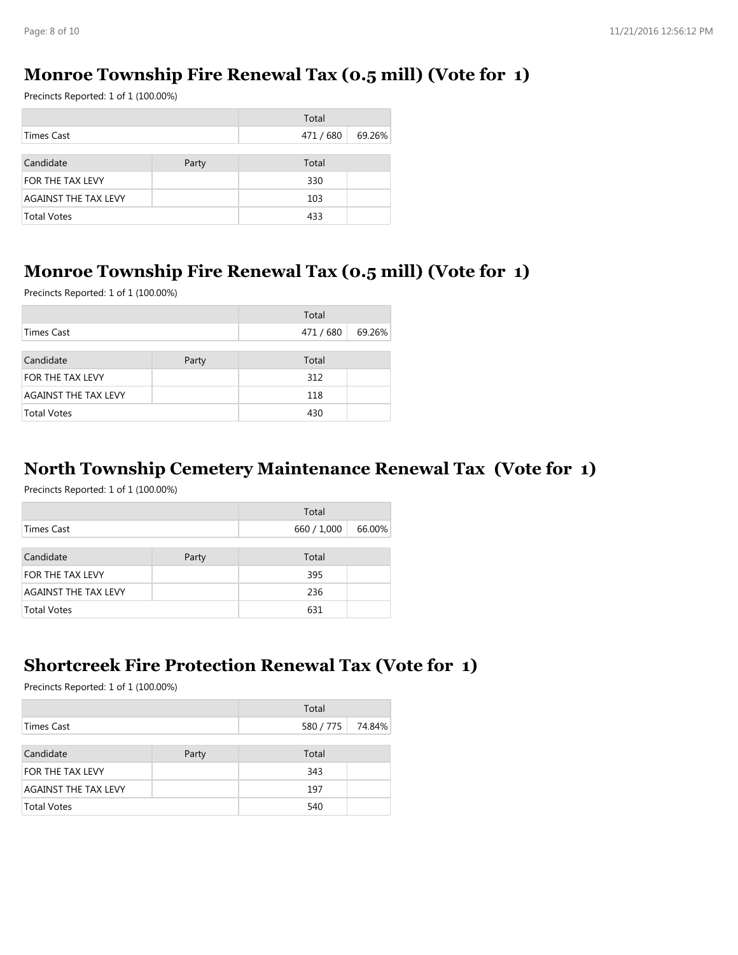## **Monroe Township Fire Renewal Tax (0.5 mill) (Vote for 1)**

Precincts Reported: 1 of 1 (100.00%)

|                             |       | Total     |        |
|-----------------------------|-------|-----------|--------|
| Times Cast                  |       | 471 / 680 | 69.26% |
|                             |       |           |        |
| Candidate                   | Party | Total     |        |
| FOR THE TAX LEVY            |       | 330       |        |
| <b>AGAINST THE TAX LEVY</b> |       | 103       |        |
| <b>Total Votes</b>          |       | 433       |        |

#### **Monroe Township Fire Renewal Tax (0.5 mill) (Vote for 1)**

Precincts Reported: 1 of 1 (100.00%)

|                             |       | Total     |        |
|-----------------------------|-------|-----------|--------|
| <b>Times Cast</b>           |       | 471 / 680 | 69.26% |
|                             |       |           |        |
| Candidate                   | Party | Total     |        |
| FOR THE TAX LEVY            |       | 312       |        |
| <b>AGAINST THE TAX LEVY</b> |       | 118       |        |
| <b>Total Votes</b>          |       | 430       |        |

#### **North Township Cemetery Maintenance Renewal Tax (Vote for 1)**

Precincts Reported: 1 of 1 (100.00%)

|                             |       | Total       |        |
|-----------------------------|-------|-------------|--------|
| Times Cast                  |       | 660 / 1,000 | 66.00% |
|                             |       |             |        |
| Candidate                   | Party | Total       |        |
| FOR THE TAX LEVY            |       | 395         |        |
| <b>AGAINST THE TAX LEVY</b> |       | 236         |        |
| <b>Total Votes</b>          |       | 631         |        |

#### **Shortcreek Fire Protection Renewal Tax (Vote for 1)**

| Total                       |       |         |        |
|-----------------------------|-------|---------|--------|
| Times Cast                  |       | 580/775 | 74.84% |
|                             |       |         |        |
| Candidate                   | Party | Total   |        |
| FOR THE TAX LEVY            |       | 343     |        |
| <b>AGAINST THE TAX LEVY</b> |       | 197     |        |
| <b>Total Votes</b>          |       | 540     |        |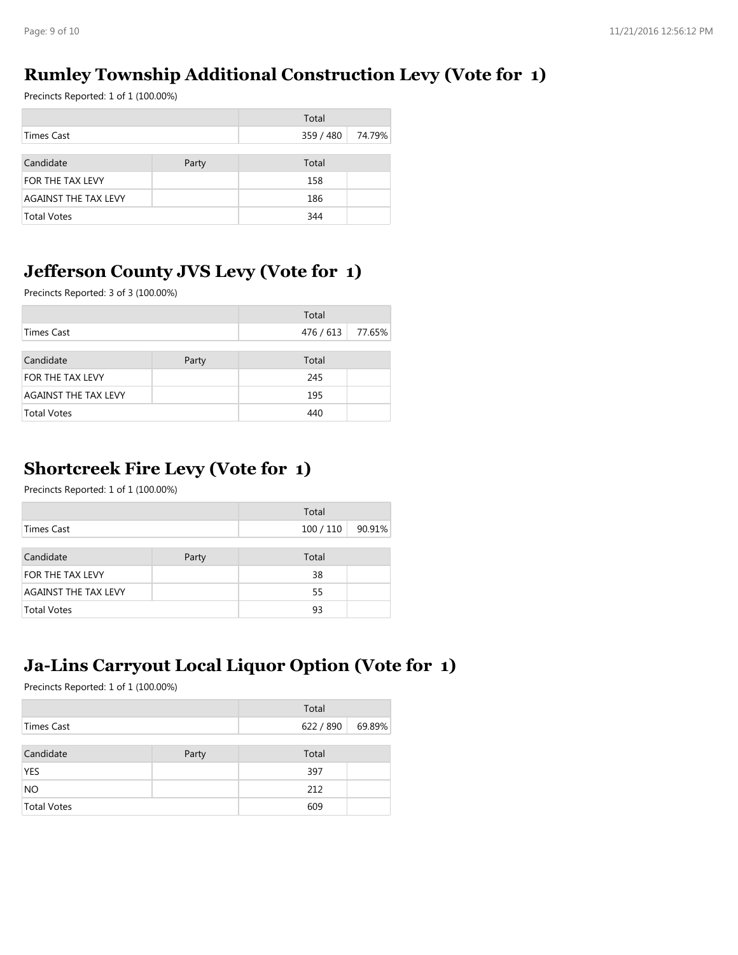## **Rumley Township Additional Construction Levy (Vote for 1)**

Precincts Reported: 1 of 1 (100.00%)

|                             |       | Total     |        |
|-----------------------------|-------|-----------|--------|
| Times Cast                  |       | 359 / 480 | 74.79% |
|                             |       |           |        |
| Candidate                   | Party | Total     |        |
| FOR THE TAX LEVY            |       | 158       |        |
| <b>AGAINST THE TAX LEVY</b> |       | 186       |        |
| <b>Total Votes</b>          |       | 344       |        |

## **Jefferson County JVS Levy (Vote for 1)**

Precincts Reported: 3 of 3 (100.00%)

|                             |       | Total     |        |
|-----------------------------|-------|-----------|--------|
| Times Cast                  |       | 476 / 613 | 77.65% |
|                             |       |           |        |
| Candidate                   | Party | Total     |        |
| FOR THE TAX LEVY            |       | 245       |        |
| <b>AGAINST THE TAX LEVY</b> |       | 195       |        |
| <b>Total Votes</b>          |       | 440       |        |

## **Shortcreek Fire Levy (Vote for 1)**

Precincts Reported: 1 of 1 (100.00%)

|                             |       | Total     |        |
|-----------------------------|-------|-----------|--------|
| Times Cast                  |       | 100 / 110 | 90.91% |
|                             |       |           |        |
| Candidate                   | Party | Total     |        |
| FOR THE TAX LEVY            |       | 38        |        |
| <b>AGAINST THE TAX LEVY</b> |       | 55        |        |
| <b>Total Votes</b>          |       | 93        |        |

## **Ja-Lins Carryout Local Liquor Option (Vote for 1)**

|                    |       | Total     |        |
|--------------------|-------|-----------|--------|
| Times Cast         |       | 622 / 890 | 69.89% |
|                    |       |           |        |
| Candidate          | Party | Total     |        |
| <b>YES</b>         |       | 397       |        |
| <b>NO</b>          |       | 212       |        |
| <b>Total Votes</b> |       | 609       |        |